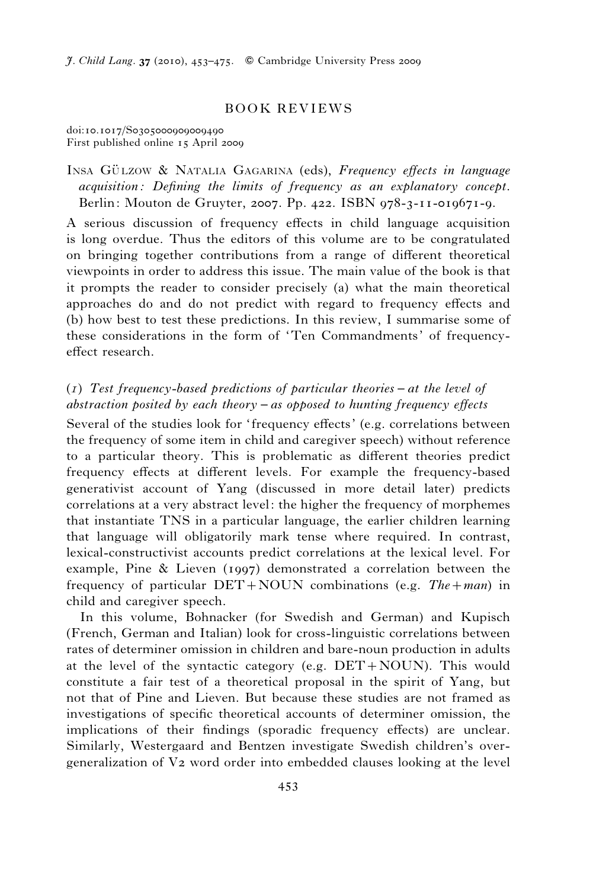doi:10.1017/S0305000909009490 First published online 15 April 2009

# INSA GÜLZOW & NATALIA GAGARINA (eds), Frequency effects in language acquisition: Defining the limits of frequency as an explanatory concept. Berlin: Mouton de Gruyter, 2007. Pp. 422. ISBN 978-3-11-019671-9.

A serious discussion of frequency effects in child language acquisition is long overdue. Thus the editors of this volume are to be congratulated on bringing together contributions from a range of different theoretical viewpoints in order to address this issue. The main value of the book is that it prompts the reader to consider precisely (a) what the main theoretical approaches do and do not predict with regard to frequency effects and (b) how best to test these predictions. In this review, I summarise some of these considerations in the form of 'Ten Commandments' of frequencyeffect research.

# $(1)$  Test frequency-based predictions of particular theories – at the level of abstraction posited by each theory  $-\infty$  opposed to hunting frequency effects

Several of the studies look for ' frequency effects' (e.g. correlations between the frequency of some item in child and caregiver speech) without reference to a particular theory. This is problematic as different theories predict frequency effects at different levels. For example the frequency-based generativist account of Yang (discussed in more detail later) predicts correlations at a very abstract level: the higher the frequency of morphemes that instantiate TNS in a particular language, the earlier children learning that language will obligatorily mark tense where required. In contrast, lexical-constructivist accounts predict correlations at the lexical level. For example, Pine & Lieven (1997) demonstrated a correlation between the frequency of particular  $DET+NOUN$  combinations (e.g.  $The + man$ ) in child and caregiver speech.

In this volume, Bohnacker (for Swedish and German) and Kupisch (French, German and Italian) look for cross-linguistic correlations between rates of determiner omission in children and bare-noun production in adults at the level of the syntactic category (e.g. DET+NOUN). This would constitute a fair test of a theoretical proposal in the spirit of Yang, but not that of Pine and Lieven. But because these studies are not framed as investigations of specific theoretical accounts of determiner omission, the implications of their findings (sporadic frequency effects) are unclear. Similarly, Westergaard and Bentzen investigate Swedish children's overgeneralization of V2 word order into embedded clauses looking at the level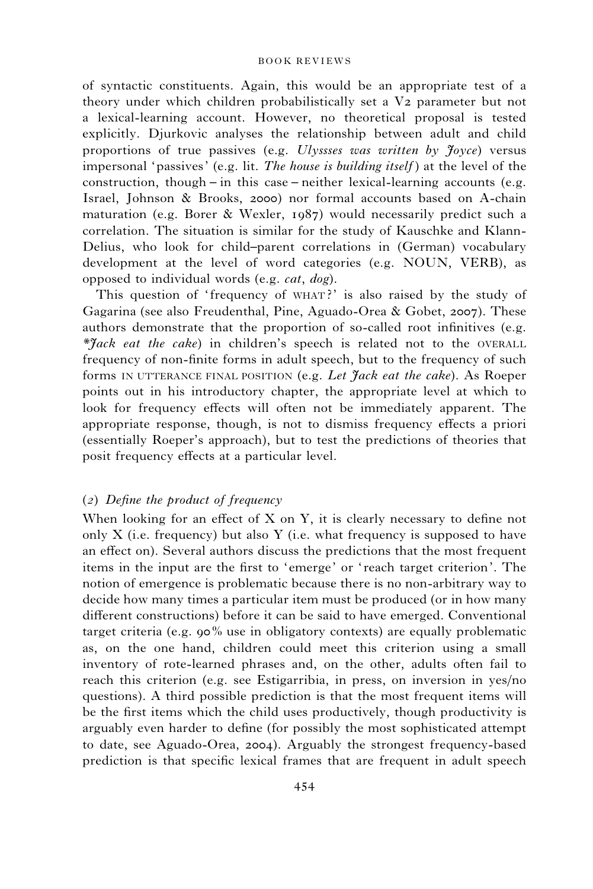of syntactic constituents. Again, this would be an appropriate test of a theory under which children probabilistically set a V2 parameter but not a lexical-learning account. However, no theoretical proposal is tested explicitly. Djurkovic analyses the relationship between adult and child proportions of true passives (e.g. Ulyssses was written by Joyce) versus impersonal 'passives' (e.g. lit. The house is building itself) at the level of the construction, though – in this case – neither lexical-learning accounts (e.g. Israel, Johnson & Brooks, 2000) nor formal accounts based on A-chain maturation (e.g. Borer & Wexler, 1987) would necessarily predict such a correlation. The situation is similar for the study of Kauschke and Klann-Delius, who look for child–parent correlations in (German) vocabulary development at the level of word categories (e.g. NOUN, VERB), as opposed to individual words (e.g. cat, dog).

This question of 'frequency of WHAT?' is also raised by the study of Gagarina (see also Freudenthal, Pine, Aguado-Orea & Gobet, 2007). These authors demonstrate that the proportion of so-called root infinitives (e.g. \*Jack eat the cake) in children's speech is related not to the OVERALL frequency of non-finite forms in adult speech, but to the frequency of such forms IN UTTERANCE FINAL POSITION (e.g. Let  $\mathcal{F}ack$  eat the cake). As Roeper points out in his introductory chapter, the appropriate level at which to look for frequency effects will often not be immediately apparent. The appropriate response, though, is not to dismiss frequency effects a priori (essentially Roeper's approach), but to test the predictions of theories that posit frequency effects at a particular level.

### (2) Define the product of frequency

When looking for an effect of  $X$  on  $Y$ , it is clearly necessary to define not only  $X$  (i.e. frequency) but also  $Y$  (i.e. what frequency is supposed to have an effect on). Several authors discuss the predictions that the most frequent items in the input are the first to 'emerge' or 'reach target criterion'. The notion of emergence is problematic because there is no non-arbitrary way to decide how many times a particular item must be produced (or in how many different constructions) before it can be said to have emerged. Conventional target criteria (e.g. 90% use in obligatory contexts) are equally problematic as, on the one hand, children could meet this criterion using a small inventory of rote-learned phrases and, on the other, adults often fail to reach this criterion (e.g. see Estigarribia, in press, on inversion in yes/no questions). A third possible prediction is that the most frequent items will be the first items which the child uses productively, though productivity is arguably even harder to define (for possibly the most sophisticated attempt to date, see Aguado-Orea, 2004). Arguably the strongest frequency-based prediction is that specific lexical frames that are frequent in adult speech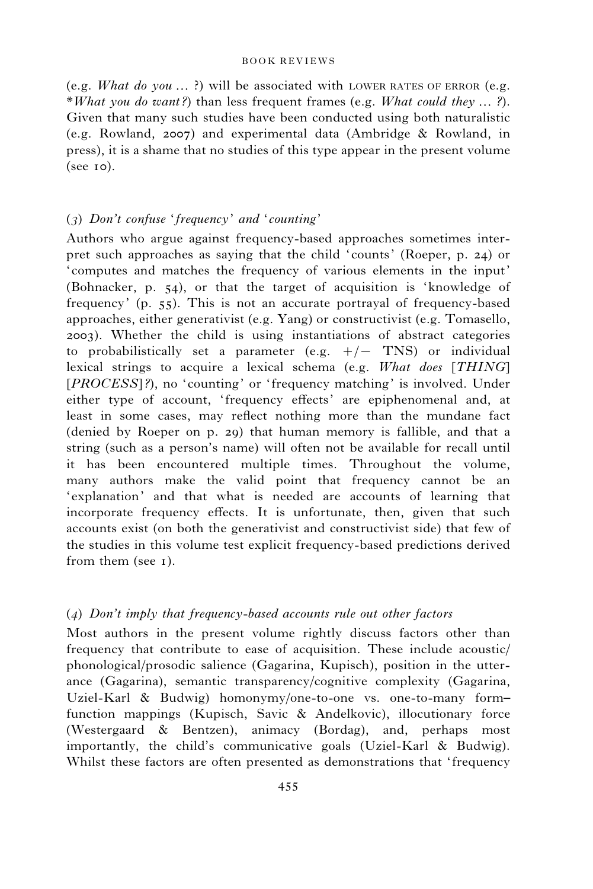(e.g. What do you  $\ldots$  ?) will be associated with LOWER RATES OF ERROR (e.g. \*What you do want?) than less frequent frames (e.g. What could they  $\ldots$  ?). Given that many such studies have been conducted using both naturalistic (e.g. Rowland, 2007) and experimental data (Ambridge & Rowland, in press), it is a shame that no studies of this type appear in the present volume (see 10).

## (3) Don't confuse 'frequency' and 'counting'

Authors who argue against frequency-based approaches sometimes interpret such approaches as saying that the child 'counts' (Roeper, p. 24) or 'computes and matches the frequency of various elements in the input' (Bohnacker, p. 54), or that the target of acquisition is 'knowledge of frequency' (p. 55). This is not an accurate portrayal of frequency-based approaches, either generativist (e.g. Yang) or constructivist (e.g. Tomasello, 2003). Whether the child is using instantiations of abstract categories to probabilistically set a parameter (e.g.  $+/-$  TNS) or individual lexical strings to acquire a lexical schema (e.g. What does [THING] [PROCESS]?), no 'counting' or ' frequency matching' is involved. Under either type of account, 'frequency effects' are epiphenomenal and, at least in some cases, may reflect nothing more than the mundane fact (denied by Roeper on p. 29) that human memory is fallible, and that a string (such as a person's name) will often not be available for recall until it has been encountered multiple times. Throughout the volume, many authors make the valid point that frequency cannot be an 'explanation' and that what is needed are accounts of learning that incorporate frequency effects. It is unfortunate, then, given that such accounts exist (on both the generativist and constructivist side) that few of the studies in this volume test explicit frequency-based predictions derived from them (see 1).

## (4) Don't imply that frequency-based accounts rule out other factors

Most authors in the present volume rightly discuss factors other than frequency that contribute to ease of acquisition. These include acoustic/ phonological/prosodic salience (Gagarina, Kupisch), position in the utterance (Gagarina), semantic transparency/cognitive complexity (Gagarina, Uziel-Karl & Budwig) homonymy/one-to-one vs. one-to-many form– function mappings (Kupisch, Savic & Andelkovic), illocutionary force (Westergaard & Bentzen), animacy (Bordag), and, perhaps most importantly, the child's communicative goals (Uziel-Karl & Budwig). Whilst these factors are often presented as demonstrations that 'frequency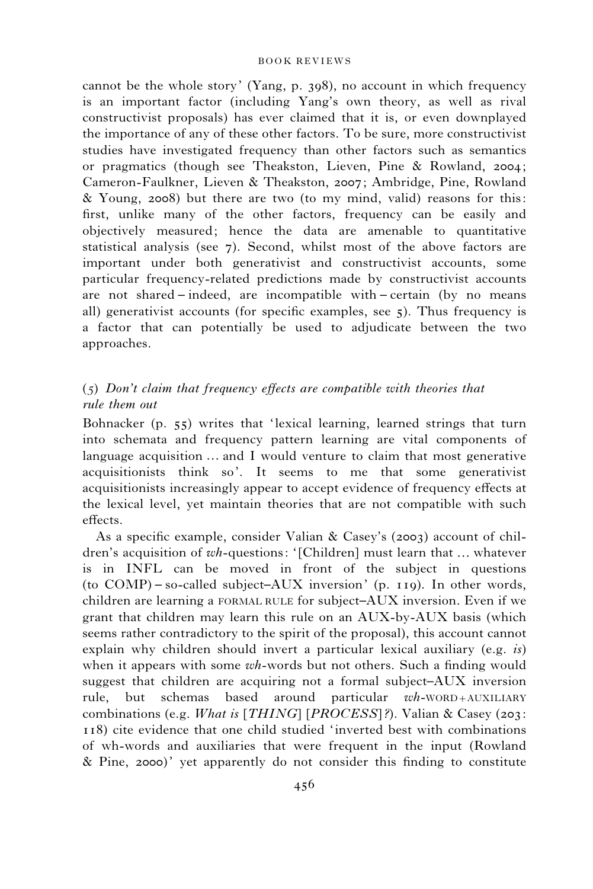cannot be the whole story' (Yang, p. 398), no account in which frequency is an important factor (including Yang's own theory, as well as rival constructivist proposals) has ever claimed that it is, or even downplayed the importance of any of these other factors. To be sure, more constructivist studies have investigated frequency than other factors such as semantics or pragmatics (though see Theakston, Lieven, Pine & Rowland, 2004; Cameron-Faulkner, Lieven & Theakston, 2007; Ambridge, Pine, Rowland & Young, 2008) but there are two (to my mind, valid) reasons for this: first, unlike many of the other factors, frequency can be easily and objectively measured; hence the data are amenable to quantitative statistical analysis (see 7). Second, whilst most of the above factors are important under both generativist and constructivist accounts, some particular frequency-related predictions made by constructivist accounts are not shared – indeed, are incompatible with – certain (by no means all) generativist accounts (for specific examples, see 5). Thus frequency is a factor that can potentially be used to adjudicate between the two approaches.

# (5) Don't claim that frequency effects are compatible with theories that rule them out

Bohnacker (p. 55) writes that 'lexical learning, learned strings that turn into schemata and frequency pattern learning are vital components of language acquisition  $\ldots$  and I would venture to claim that most generative acquisitionists think so'. It seems to me that some generativist acquisitionists increasingly appear to accept evidence of frequency effects at the lexical level, yet maintain theories that are not compatible with such effects.

As a specific example, consider Valian & Casey's (2003) account of children's acquisition of wh-questions: '[Children] must learn that ... whatever is in INFL can be moved in front of the subject in questions (to COMP) – so-called subject–AUX inversion' (p. 119). In other words, children are learning a FORMAL RULE for subject–AUX inversion. Even if we grant that children may learn this rule on an AUX-by-AUX basis (which seems rather contradictory to the spirit of the proposal), this account cannot explain why children should invert a particular lexical auxiliary (e.g. is) when it appears with some *wh*-words but not others. Such a finding would suggest that children are acquiring not a formal subject–AUX inversion rule, but schemas based around particular wh-WORD+AUXILIARY combinations (e.g. What is [THING] [PROCESS]?). Valian & Casey (203: 118) cite evidence that one child studied 'inverted best with combinations of wh-words and auxiliaries that were frequent in the input (Rowland & Pine, 2000)' yet apparently do not consider this finding to constitute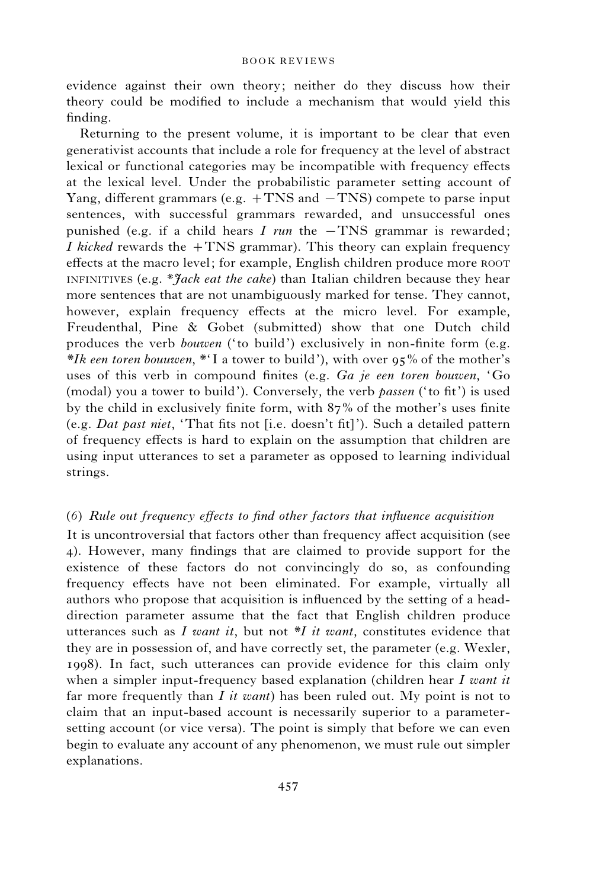evidence against their own theory; neither do they discuss how their theory could be modified to include a mechanism that would yield this finding.

Returning to the present volume, it is important to be clear that even generativist accounts that include a role for frequency at the level of abstract lexical or functional categories may be incompatible with frequency effects at the lexical level. Under the probabilistic parameter setting account of Yang, different grammars (e.g.  $+TNS$  and  $-TNS$ ) compete to parse input sentences, with successful grammars rewarded, and unsuccessful ones punished (e.g. if a child hears I run the  $-TNS$  grammar is rewarded; *I* kicked rewards the  $+TNS$  grammar). This theory can explain frequency effects at the macro level; for example, English children produce more ROOT INFINITIVES (e.g.  $*\gamma_{ack}$  *eat the cake*) than Italian children because they hear more sentences that are not unambiguously marked for tense. They cannot, however, explain frequency effects at the micro level. For example, Freudenthal, Pine & Gobet (submitted) show that one Dutch child produces the verb *bouwen* ('to build') exclusively in non-finite form (e.g. \**Ik een toren bouuwen*, \*'I a tower to build'), with over  $95\%$  of the mother's uses of this verb in compound finites (e.g. Ga je een toren bouwen, 'Go (modal) you a tower to build'). Conversely, the verb *passen* ('to fit') is used by the child in exclusively finite form, with 87% of the mother's uses finite (e.g. Dat past niet, 'That fits not [i.e. doesn't fit]'). Such a detailed pattern of frequency effects is hard to explain on the assumption that children are using input utterances to set a parameter as opposed to learning individual strings.

## (6) Rule out frequency effects to find other factors that influence acquisition

It is uncontroversial that factors other than frequency affect acquisition (see 4). However, many findings that are claimed to provide support for the existence of these factors do not convincingly do so, as confounding frequency effects have not been eliminated. For example, virtually all authors who propose that acquisition is influenced by the setting of a headdirection parameter assume that the fact that English children produce utterances such as I want it, but not  $*I$  it want, constitutes evidence that they are in possession of, and have correctly set, the parameter (e.g. Wexler, 1998). In fact, such utterances can provide evidence for this claim only when a simpler input-frequency based explanation (children hear  $I$  want it far more frequently than  $I$  it want) has been ruled out. My point is not to claim that an input-based account is necessarily superior to a parametersetting account (or vice versa). The point is simply that before we can even begin to evaluate any account of any phenomenon, we must rule out simpler explanations.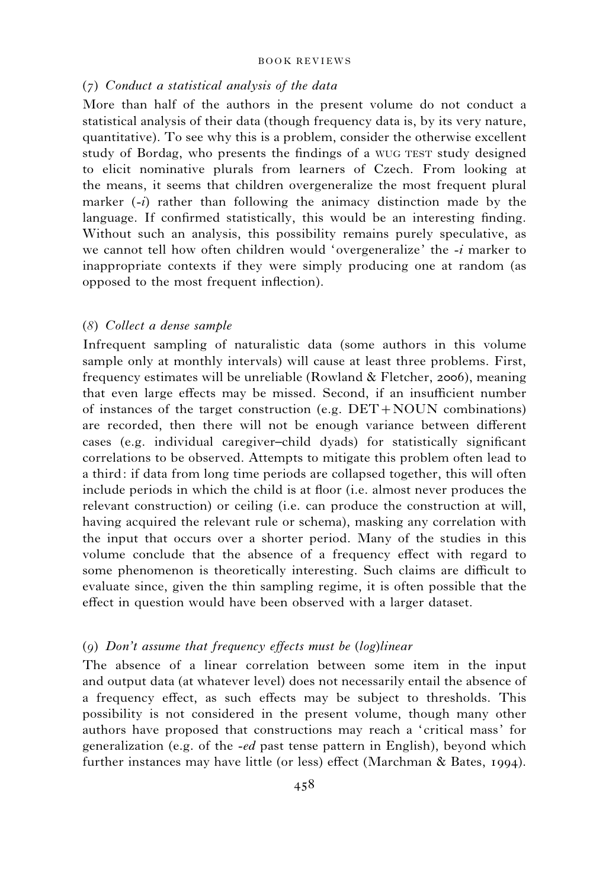### (7) Conduct a statistical analysis of the data

More than half of the authors in the present volume do not conduct a statistical analysis of their data (though frequency data is, by its very nature, quantitative). To see why this is a problem, consider the otherwise excellent study of Bordag, who presents the findings of a WUG TEST study designed to elicit nominative plurals from learners of Czech. From looking at the means, it seems that children overgeneralize the most frequent plural marker  $(-i)$  rather than following the animacy distinction made by the language. If confirmed statistically, this would be an interesting finding. Without such an analysis, this possibility remains purely speculative, as we cannot tell how often children would 'overgeneralize' the -*i* marker to inappropriate contexts if they were simply producing one at random (as opposed to the most frequent inflection).

#### (8) Collect a dense sample

Infrequent sampling of naturalistic data (some authors in this volume sample only at monthly intervals) will cause at least three problems. First, frequency estimates will be unreliable (Rowland & Fletcher, 2006), meaning that even large effects may be missed. Second, if an insufficient number of instances of the target construction (e.g.  $DET+NOUN$  combinations) are recorded, then there will not be enough variance between different cases (e.g. individual caregiver–child dyads) for statistically significant correlations to be observed. Attempts to mitigate this problem often lead to a third: if data from long time periods are collapsed together, this will often include periods in which the child is at floor (i.e. almost never produces the relevant construction) or ceiling (i.e. can produce the construction at will, having acquired the relevant rule or schema), masking any correlation with the input that occurs over a shorter period. Many of the studies in this volume conclude that the absence of a frequency effect with regard to some phenomenon is theoretically interesting. Such claims are difficult to evaluate since, given the thin sampling regime, it is often possible that the effect in question would have been observed with a larger dataset.

### (9) Don't assume that frequency effects must be (log)linear

The absence of a linear correlation between some item in the input and output data (at whatever level) does not necessarily entail the absence of a frequency effect, as such effects may be subject to thresholds. This possibility is not considered in the present volume, though many other authors have proposed that constructions may reach a 'critical mass' for generalization (e.g. of the  $-ed$  past tense pattern in English), beyond which further instances may have little (or less) effect (Marchman & Bates, 1994).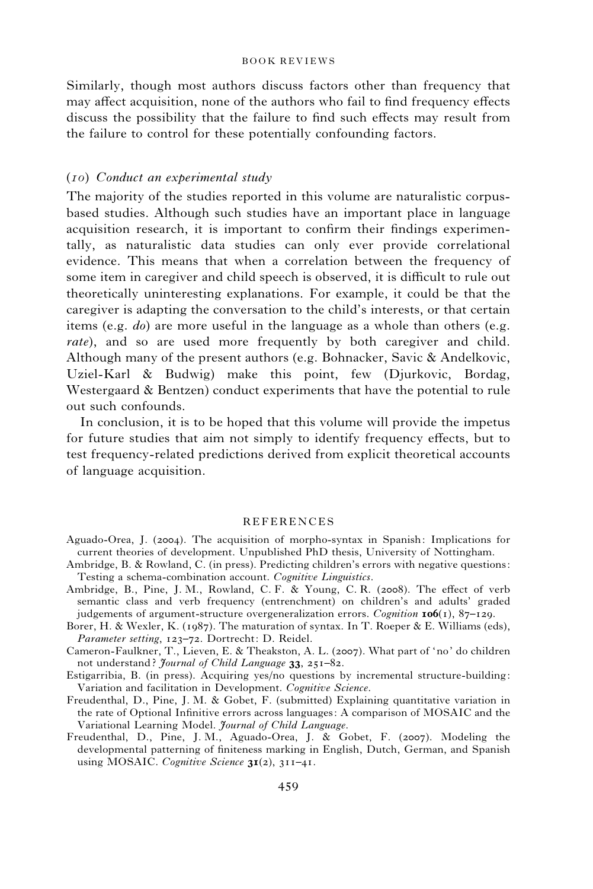Similarly, though most authors discuss factors other than frequency that may affect acquisition, none of the authors who fail to find frequency effects discuss the possibility that the failure to find such effects may result from the failure to control for these potentially confounding factors.

### (10) Conduct an experimental study

The majority of the studies reported in this volume are naturalistic corpusbased studies. Although such studies have an important place in language acquisition research, it is important to confirm their findings experimentally, as naturalistic data studies can only ever provide correlational evidence. This means that when a correlation between the frequency of some item in caregiver and child speech is observed, it is difficult to rule out theoretically uninteresting explanations. For example, it could be that the caregiver is adapting the conversation to the child's interests, or that certain items (e.g.  $do$ ) are more useful in the language as a whole than others (e.g. rate), and so are used more frequently by both caregiver and child. Although many of the present authors (e.g. Bohnacker, Savic & Andelkovic, Uziel-Karl & Budwig) make this point, few (Djurkovic, Bordag, Westergaard & Bentzen) conduct experiments that have the potential to rule out such confounds.

In conclusion, it is to be hoped that this volume will provide the impetus for future studies that aim not simply to identify frequency effects, but to test frequency-related predictions derived from explicit theoretical accounts of language acquisition.

#### REFERENCES

- Ambridge, B. & Rowland, C. (in press). Predicting children's errors with negative questions: Testing a schema-combination account. Cognitive Linguistics.
- Ambridge, B., Pine, J. M., Rowland, C. F. & Young, C. R. (2008). The effect of verb semantic class and verb frequency (entrenchment) on children's and adults' graded judgements of argument-structure overgeneralization errors. Cognition  $106(1)$ , 87-129.
- Borer, H. & Wexler, K. (1987). The maturation of syntax. In T. Roeper & E. Williams (eds), Parameter setting, 123–72. Dortrecht: D. Reidel.
- Cameron-Faulkner, T., Lieven, E. & Theakston, A. L. (2007). What part of 'no' do children not understand? Journal of Child Language 33, 251-82.
- Estigarribia, B. (in press). Acquiring yes/no questions by incremental structure-building: Variation and facilitation in Development. Cognitive Science.
- Freudenthal, D., Pine, J. M. & Gobet, F. (submitted) Explaining quantitative variation in the rate of Optional Infinitive errors across languages: A comparison of MOSAIC and the Variational Learning Model. Journal of Child Language.
- Freudenthal, D., Pine, J. M., Aguado-Orea, J. & Gobet, F. (2007). Modeling the developmental patterning of finiteness marking in English, Dutch, German, and Spanish using MOSAIC. Cognitive Science  $3I(2)$ ,  $3I1-4I$ .

Aguado-Orea, J. (2004). The acquisition of morpho-syntax in Spanish: Implications for current theories of development. Unpublished PhD thesis, University of Nottingham.